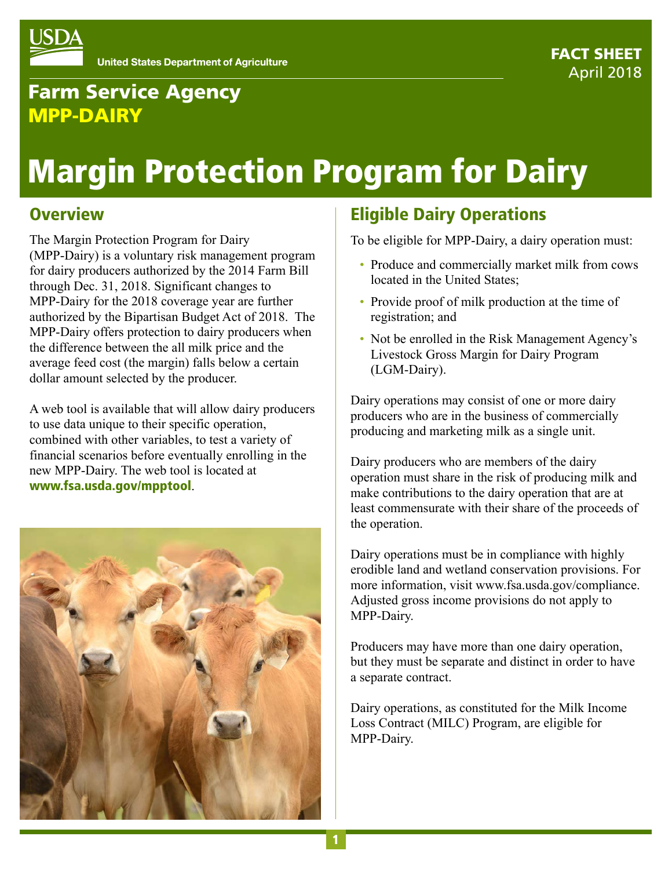

# Farm Service Agency MPP-DAIRY

# Margin Protection Program for Dairy

## **Overview**

The Margin Protection Program for Dairy (MPP-Dairy) is a voluntary risk management program for dairy producers authorized by the 2014 Farm Bill through Dec. 31, 2018. Significant changes to MPP-Dairy for the 2018 coverage year are further authorized by the Bipartisan Budget Act of 2018. The MPP-Dairy offers protection to dairy producers when the difference between the all milk price and the average feed cost (the margin) falls below a certain dollar amount selected by the producer.

A web tool is available that will allow dairy producers to use data unique to their specific operation, combined with other variables, to test a variety of financial scenarios before eventually enrolling in the new MPP-Dairy. The web tool is located at www.fsa.usda.gov/mpptool.



# Eligible Dairy Operations

To be eligible for MPP-Dairy, a dairy operation must:

- Produce and commercially market milk from cows located in the United States;
- Provide proof of milk production at the time of registration; and
- Not be enrolled in the Risk Management Agency's Livestock Gross Margin for Dairy Program (LGM-Dairy).

Dairy operations may consist of one or more dairy producers who are in the business of commercially producing and marketing milk as a single unit.

Dairy producers who are members of the dairy operation must share in the risk of producing milk and make contributions to the dairy operation that are at least commensurate with their share of the proceeds of the operation.

Dairy operations must be in compliance with highly erodible land and wetland conservation provisions. For more information, visit www.fsa.usda.gov/compliance. Adjusted gross income provisions do not apply to MPP-Dairy.

Producers may have more than one dairy operation, but they must be separate and distinct in order to have a separate contract.

Dairy operations, as constituted for the Milk Income Loss Contract (MILC) Program, are eligible for MPP-Dairy.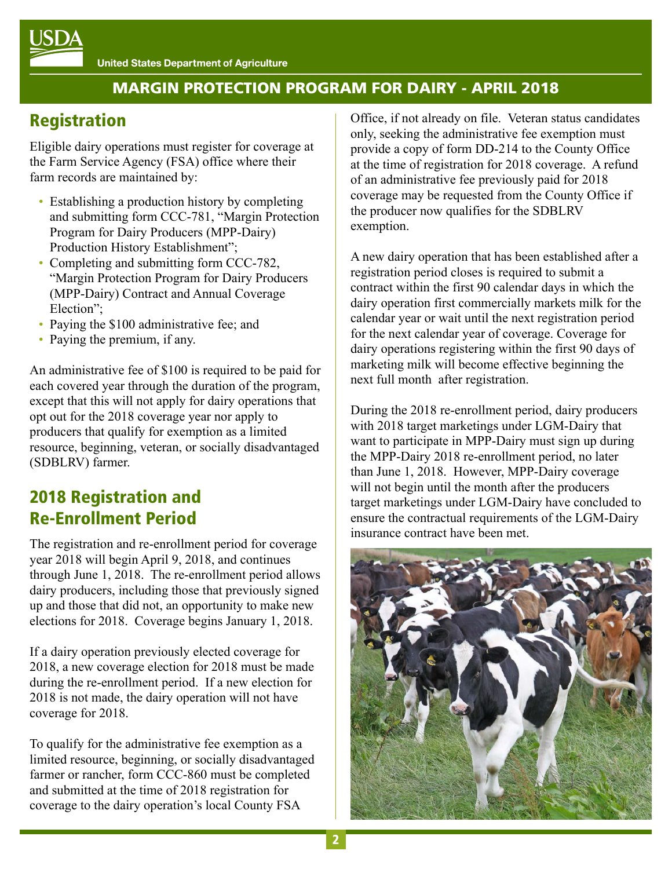# Registration

Eligible dairy operations must register for coverage at the Farm Service Agency (FSA) office where their farm records are maintained by:

- Establishing a production history by completing and submitting form CCC-781, "Margin Protection Program for Dairy Producers (MPP-Dairy) Production History Establishment";
- Completing and submitting form CCC-782, "Margin Protection Program for Dairy Producers (MPP-Dairy) Contract and Annual Coverage Election";
- Paying the \$100 administrative fee; and
- Paying the premium, if any.

An administrative fee of \$100 is required to be paid for each covered year through the duration of the program, except that this will not apply for dairy operations that opt out for the 2018 coverage year nor apply to producers that qualify for exemption as a limited resource, beginning, veteran, or socially disadvantaged (SDBLRV) farmer.

## 2018 Registration and Re-Enrollment Period

The registration and re-enrollment period for coverage year 2018 will begin April 9, 2018, and continues through June 1, 2018. The re-enrollment period allows dairy producers, including those that previously signed up and those that did not, an opportunity to make new elections for 2018. Coverage begins January 1, 2018.

If a dairy operation previously elected coverage for 2018, a new coverage election for 2018 must be made during the re-enrollment period. If a new election for 2018 is not made, the dairy operation will not have coverage for 2018.

To qualify for the administrative fee exemption as a limited resource, beginning, or socially disadvantaged farmer or rancher, form CCC-860 must be completed and submitted at the time of 2018 registration for coverage to the dairy operation's local County FSA

Office, if not already on file. Veteran status candidates only, seeking the administrative fee exemption must provide a copy of form DD-214 to the County Office at the time of registration for 2018 coverage. A refund of an administrative fee previously paid for 2018 coverage may be requested from the County Office if the producer now qualifies for the SDBLRV exemption.

A new dairy operation that has been established after a registration period closes is required to submit a contract within the first 90 calendar days in which the dairy operation first commercially markets milk for the calendar year or wait until the next registration period for the next calendar year of coverage. Coverage for dairy operations registering within the first 90 days of marketing milk will become effective beginning the next full month after registration.

During the 2018 re-enrollment period, dairy producers with 2018 target marketings under LGM-Dairy that want to participate in MPP-Dairy must sign up during the MPP-Dairy 2018 re-enrollment period, no later than June 1, 2018. However, MPP-Dairy coverage will not begin until the month after the producers target marketings under LGM-Dairy have concluded to ensure the contractual requirements of the LGM-Dairy insurance contract have been met.

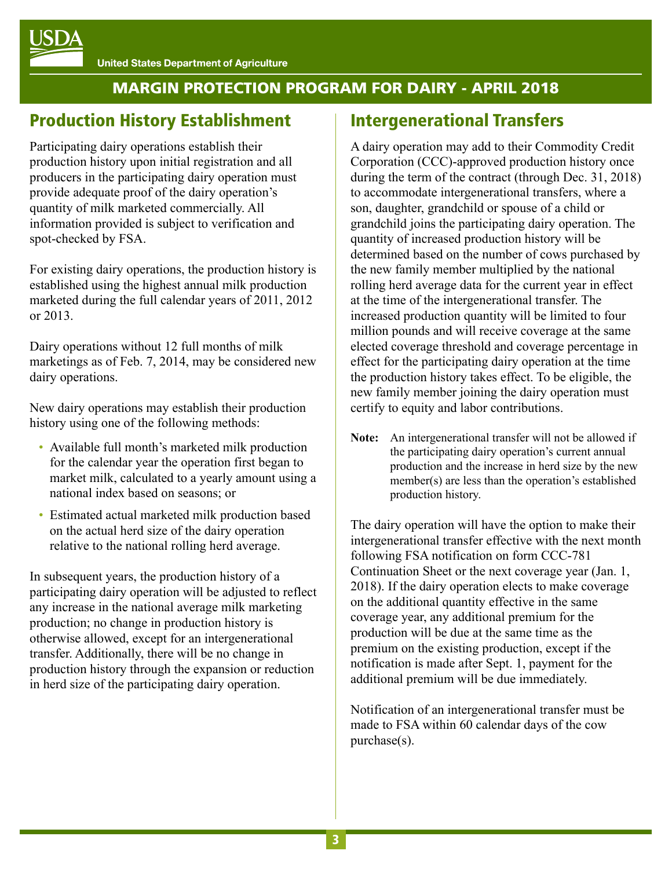## Production History Establishment

Participating dairy operations establish their production history upon initial registration and all producers in the participating dairy operation must provide adequate proof of the dairy operation's quantity of milk marketed commercially. All information provided is subject to verification and spot-checked by FSA.

For existing dairy operations, the production history is established using the highest annual milk production marketed during the full calendar years of 2011, 2012 or 2013.

Dairy operations without 12 full months of milk marketings as of Feb. 7, 2014, may be considered new dairy operations.

New dairy operations may establish their production history using one of the following methods:

- Available full month's marketed milk production for the calendar year the operation first began to market milk, calculated to a yearly amount using a national index based on seasons; or
- Estimated actual marketed milk production based on the actual herd size of the dairy operation relative to the national rolling herd average.

In subsequent years, the production history of a participating dairy operation will be adjusted to reflect any increase in the national average milk marketing production; no change in production history is otherwise allowed, except for an intergenerational transfer. Additionally, there will be no change in production history through the expansion or reduction in herd size of the participating dairy operation.

## Intergenerational Transfers

A dairy operation may add to their Commodity Credit Corporation (CCC)-approved production history once during the term of the contract (through Dec. 31, 2018) to accommodate intergenerational transfers, where a son, daughter, grandchild or spouse of a child or grandchild joins the participating dairy operation. The quantity of increased production history will be determined based on the number of cows purchased by the new family member multiplied by the national rolling herd average data for the current year in effect at the time of the intergenerational transfer. The increased production quantity will be limited to four million pounds and will receive coverage at the same elected coverage threshold and coverage percentage in effect for the participating dairy operation at the time the production history takes effect. To be eligible, the new family member joining the dairy operation must certify to equity and labor contributions.

**Note:** An intergenerational transfer will not be allowed if the participating dairy operation's current annual production and the increase in herd size by the new member(s) are less than the operation's established production history.

The dairy operation will have the option to make their intergenerational transfer effective with the next month following FSA notification on form CCC-781 Continuation Sheet or the next coverage year (Jan. 1, 2018). If the dairy operation elects to make coverage on the additional quantity effective in the same coverage year, any additional premium for the production will be due at the same time as the premium on the existing production, except if the notification is made after Sept. 1, payment for the additional premium will be due immediately.

Notification of an intergenerational transfer must be made to FSA within 60 calendar days of the cow purchase(s).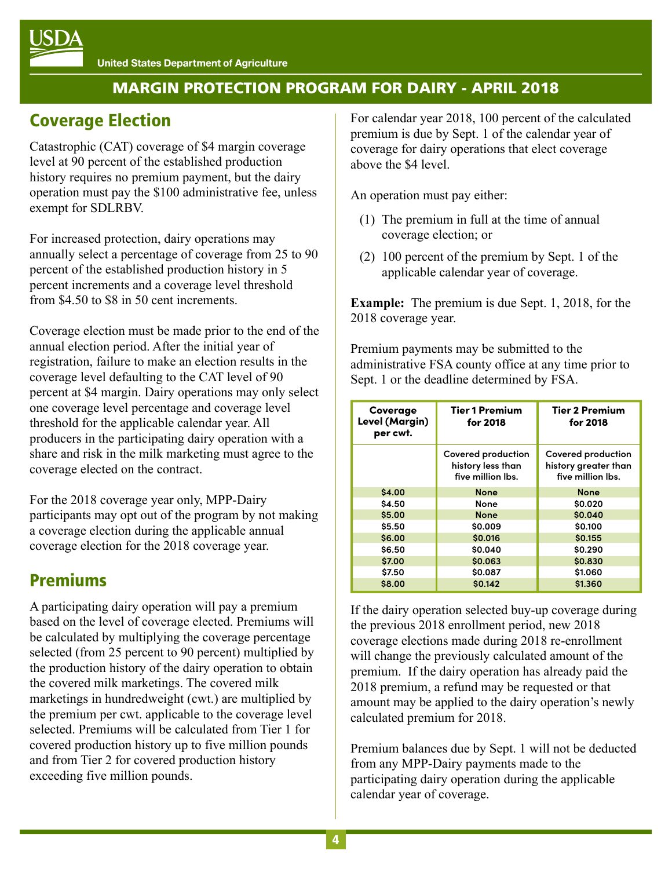## Coverage Election

Catastrophic (CAT) coverage of \$4 margin coverage level at 90 percent of the established production history requires no premium payment, but the dairy operation must pay the \$100 administrative fee, unless exempt for SDLRBV.

For increased protection, dairy operations may annually select a percentage of coverage from 25 to 90 percent of the established production history in 5 percent increments and a coverage level threshold from \$4.50 to \$8 in 50 cent increments.

Coverage election must be made prior to the end of the annual election period. After the initial year of registration, failure to make an election results in the coverage level defaulting to the CAT level of 90 percent at \$4 margin. Dairy operations may only select one coverage level percentage and coverage level threshold for the applicable calendar year. All producers in the participating dairy operation with a share and risk in the milk marketing must agree to the coverage elected on the contract.

For the 2018 coverage year only, MPP-Dairy participants may opt out of the program by not making a coverage election during the applicable annual coverage election for the 2018 coverage year.

## Premiums

A participating dairy operation will pay a premium based on the level of coverage elected. Premiums will be calculated by multiplying the coverage percentage selected (from 25 percent to 90 percent) multiplied by the production history of the dairy operation to obtain the covered milk marketings. The covered milk marketings in hundredweight (cwt.) are multiplied by the premium per cwt. applicable to the coverage level selected. Premiums will be calculated from Tier 1 for covered production history up to five million pounds and from Tier 2 for covered production history exceeding five million pounds.

For calendar year 2018, 100 percent of the calculated premium is due by Sept. 1 of the calendar year of coverage for dairy operations that elect coverage above the \$4 level.

An operation must pay either:

- (1) The premium in full at the time of annual coverage election; or
- (2) 100 percent of the premium by Sept. 1 of the applicable calendar year of coverage.

**Example:** The premium is due Sept. 1, 2018, for the 2018 coverage year.

Premium payments may be submitted to the administrative FSA county office at any time prior to Sept. 1 or the deadline determined by FSA.

| Coverage<br>Level (Margin)<br>per cwt. | <b>Tier 1 Premium</b><br>for 2018                            | <b>Tier 2 Premium</b><br>for 2018                               |
|----------------------------------------|--------------------------------------------------------------|-----------------------------------------------------------------|
|                                        | Covered production<br>history less than<br>five million lbs. | Covered production<br>history greater than<br>five million lbs. |
| \$4.00                                 | <b>None</b>                                                  | <b>None</b>                                                     |
| \$4.50                                 | None                                                         | \$0.020                                                         |
| \$5.00                                 | <b>None</b>                                                  | \$0.040                                                         |
| \$5.50                                 | \$0.009                                                      | \$0.100                                                         |
| \$6.00                                 | \$0.016                                                      | \$0.155                                                         |
| \$6.50                                 | \$0.040                                                      | \$0.290                                                         |
| \$7.00                                 | \$0.063                                                      | \$0.830                                                         |
| \$7.50                                 | \$0.087                                                      | \$1.060                                                         |
| \$8.00                                 | \$0.142                                                      | \$1.360                                                         |

If the dairy operation selected buy-up coverage during the previous 2018 enrollment period, new 2018 coverage elections made during 2018 re-enrollment will change the previously calculated amount of the premium. If the dairy operation has already paid the 2018 premium, a refund may be requested or that amount may be applied to the dairy operation's newly calculated premium for 2018.

Premium balances due by Sept. 1 will not be deducted from any MPP-Dairy payments made to the participating dairy operation during the applicable calendar year of coverage.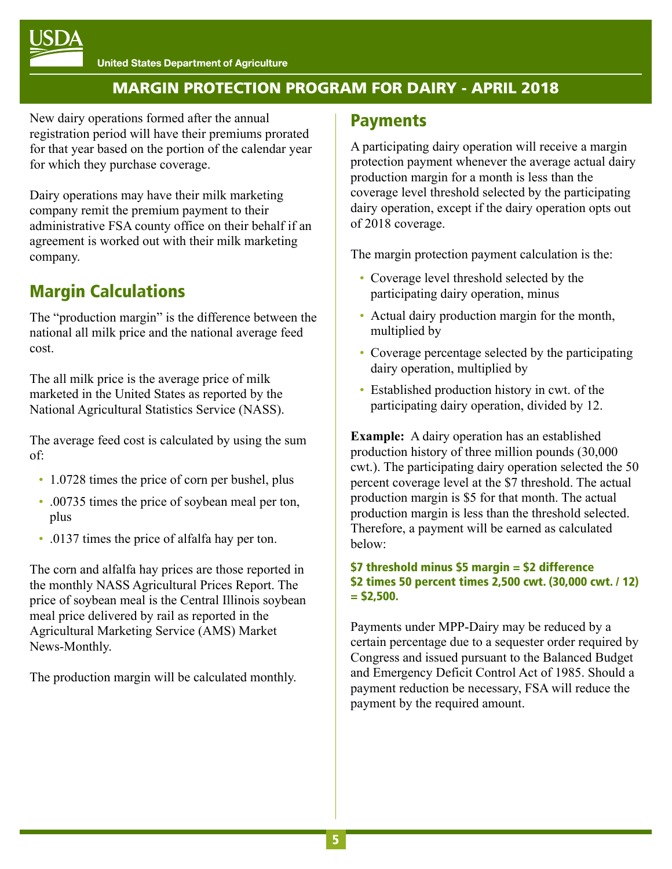

New dairy operations formed after the annual registration period will have their premiums prorated for that year based on the portion of the calendar year for which they purchase coverage.

Dairy operations may have their milk marketing company remit the premium payment to their administrative FSA county office on their behalf if an agreement is worked out with their milk marketing company.

## Margin Calculations

The "production margin" is the difference between the national all milk price and the national average feed cost.

The all milk price is the average price of milk marketed in the United States as reported by the National Agricultural Statistics Service (NASS).

The average feed cost is calculated by using the sum of:

- 1.0728 times the price of corn per bushel, plus
- .00735 times the price of soybean meal per ton, plus
- .0137 times the price of alfalfa hay per ton.

The corn and alfalfa hay prices are those reported in the monthly NASS Agricultural Prices Report. The price of soybean meal is the Central Illinois soybean meal price delivered by rail as reported in the Agricultural Marketing Service (AMS) Market News-Monthly.

The production margin will be calculated monthly.

#### **Payments**

A participating dairy operation will receive a margin protection payment whenever the average actual dairy production margin for a month is less than the coverage level threshold selected by the participating dairy operation, except if the dairy operation opts out of 2018 coverage.

The margin protection payment calculation is the:

- Coverage level threshold selected by the participating dairy operation, minus
- Actual dairy production margin for the month, multiplied by
- Coverage percentage selected by the participating dairy operation, multiplied by
- Established production history in cwt. of the participating dairy operation, divided by 12.

**Example:** A dairy operation has an established production history of three million pounds (30,000 cwt.). The participating dairy operation selected the 50 percent coverage level at the \$7 threshold. The actual production margin is \$5 for that month. The actual production margin is less than the threshold selected. Therefore, a payment will be earned as calculated below:

#### \$7 threshold minus \$5 margin = \$2 difference \$2 times 50 percent times 2,500 cwt. (30,000 cwt. / 12)  $=$  \$2,500.

Payments under MPP-Dairy may be reduced by a certain percentage due to a sequester order required by Congress and issued pursuant to the Balanced Budget and Emergency Deficit Control Act of 1985. Should a payment reduction be necessary, FSA will reduce the payment by the required amount.